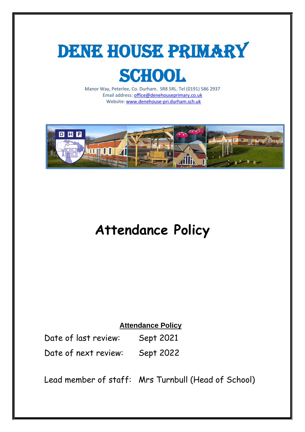

# **SCHOOL**

Manor Way, Peterlee, Co. Durham. SR8 5RL. Tel (0191) 586 2937 Email address[: office@denehouseprimary.co.uk](mailto:office@denehouseprimary.co.uk) Website[: www.denehouse-pri.durham.sch.uk](http://www.denehouse-pri.durham.sch.uk/)



# **Attendance Policy**

# **Attendance Policy**

Date of last review: Sept 2021 Date of next review: Sept 2022

Lead member of staff: Mrs Turnbull (Head of School)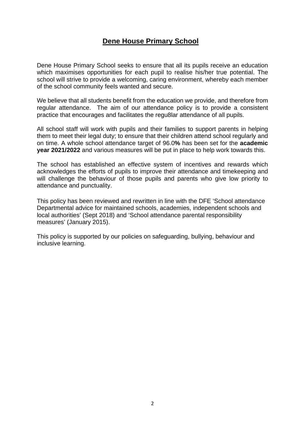# **Dene House Primary School**

Dene House Primary School seeks to ensure that all its pupils receive an education which maximises opportunities for each pupil to realise his/her true potential. The school will strive to provide a welcoming, caring environment, whereby each member of the school community feels wanted and secure.

We believe that all students benefit from the education we provide, and therefore from regular attendance. The aim of our attendance policy is to provide a consistent practice that encourages and facilitates the regu8lar attendance of all pupils.

All school staff will work with pupils and their families to support parents in helping them to meet their legal duty; to ensure that their children attend school regularly and on time. A whole school attendance target of 96.0**%** has been set for the **academic year 2021/2022** and various measures will be put in place to help work towards this.

The school has established an effective system of incentives and rewards which acknowledges the efforts of pupils to improve their attendance and timekeeping and will challenge the behaviour of those pupils and parents who give low priority to attendance and punctuality.

This policy has been reviewed and rewritten in line with the DFE 'School attendance Departmental advice for maintained schools, academies, independent schools and local authorities' (Sept 2018) and 'School attendance parental responsibility measures' (January 2015).

This policy is supported by our policies on safeguarding, bullying, behaviour and inclusive learning.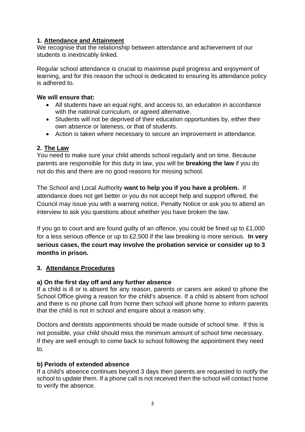# **1. Attendance and Attainment**

We recognise that the relationship between attendance and achievement of our students is inextricably linked.

Regular school attendance is crucial to maximise pupil progress and enjoyment of learning, and for this reason the school is dedicated to ensuring its attendance policy is adhered to.

### **We will ensure that:**

- All students have an equal right, and access to, an education in accordance with the national curriculum, or agreed alternative.
- Students will not be deprived of their education opportunities by, either their own absence or lateness, or that of students.
- Action is taken where necessary to secure an improvement in attendance.

# **2. The Law**

You need to make sure your child attends school regularly and on time. Because parents are responsible for this duty in law, you will be **breaking the law** if you do not do this and there are no good reasons for missing school.

The School and Local Authority **want to help you if you have a problem.** If attendance does not get better or you do not accept help and support offered, the Council may issue you with a warning notice, Penalty Notice or ask you to attend an interview to ask you questions about whether you have broken the law.

If you go to court and are found guilty of an offence, you could be fined up to £1,000 for a less serious offence or up to £2,500 if the law breaking is more serious. **In very serious cases, the court may involve the probation service or consider up to 3 months in prison.**

# **3. Attendance Procedures**

# **a) On the first day off and any further absence**

If a child is ill or is absent for any reason, parents or carers are asked to phone the School Office giving a reason for the child's absence. If a child is absent from school and there is no phone call from home then school will phone home to inform parents that the child is not in school and enquire about a reason why.

Doctors and dentists appointments should be made outside of school time. If this is not possible, your child should miss the minimum amount of school time necessary. If they are well enough to come back to school following the appointment they need to.

# **b) Periods of extended absence**

If a child's absence continues beyond 3 days then parents are requested to notify the school to update them. If a phone call is not received then the school will contact home to verify the absence.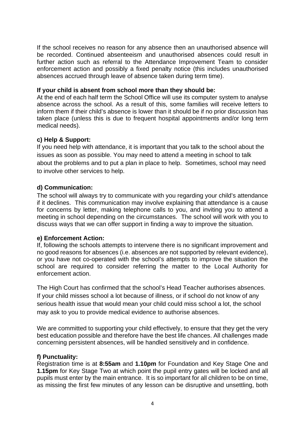If the school receives no reason for any absence then an unauthorised absence will be recorded. Continued absenteeism and unauthorised absences could result in further action such as referral to the Attendance Improvement Team to consider enforcement action and possibly a fixed penalty notice (this includes unauthorised absences accrued through leave of absence taken during term time).

#### **If your child is absent from school more than they should be:**

At the end of each half term the School Office will use its computer system to analyse absence across the school. As a result of this, some families will receive letters to inform them if their child's absence is lower than it should be if no prior discussion has taken place (unless this is due to frequent hospital appointments and/or long term medical needs).

#### **c) Help & Support:**

If you need help with attendance, it is important that you talk to the school about the issues as soon as possible. You may need to attend a meeting in school to talk about the problems and to put a plan in place to help. Sometimes, school may need to involve other services to help.

# **d) Communication:**

The school will always try to communicate with you regarding your child's attendance if it declines. This communication may involve explaining that attendance is a cause for concerns by letter, making telephone calls to you, and inviting you to attend a meeting in school depending on the circumstances. The school will work with you to discuss ways that we can offer support in finding a way to improve the situation.

#### **e) Enforcement Action:**

If, following the schools attempts to intervene there is no significant improvement and no good reasons for absences (i.e. absences are not supported by relevant evidence), or you have not co-operated with the school's attempts to improve the situation the school are required to consider referring the matter to the Local Authority for enforcement action.

The High Court has confirmed that the school's Head Teacher authorises absences. If your child misses school a lot because of illness, or if school do not know of any serious health issue that would mean your child could miss school a lot, the school may ask to you to provide medical evidence to authorise absences.

We are committed to supporting your child effectively, to ensure that they get the very best education possible and therefore have the best life chances. All challenges made concerning persistent absences, will be handled sensitively and in confidence.

#### **f) Punctuality:**

Registration time is at **8:55am** and **1.10pm** for Foundation and Key Stage One and **1.15pm** for Key Stage Two at which point the pupil entry gates will be locked and all pupils must enter by the main entrance. It is so important for all children to be on time, as missing the first few minutes of any lesson can be disruptive and unsettling, both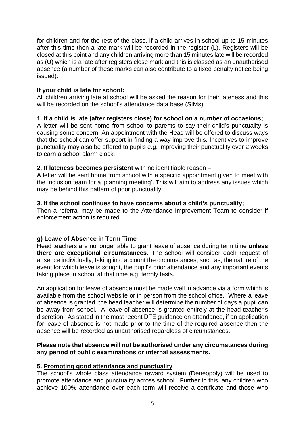for children and for the rest of the class. If a child arrives in school up to 15 minutes after this time then a late mark will be recorded in the register (L). Registers will be closed at this point and any children arriving more than 15 minutes late will be recorded as (U) which is a late after registers close mark and this is classed as an unauthorised absence (a number of these marks can also contribute to a fixed penalty notice being issued).

#### **If your child is late for school:**

All children arriving late at school will be asked the reason for their lateness and this will be recorded on the school's attendance data base (SIMs).

#### **1. If a child is late (after registers close) for school on a number of occasions;**

A letter will be sent home from school to parents to say their child's punctuality is causing some concern. An appointment with the Head will be offered to discuss ways that the school can offer support in finding a way improve this. Incentives to improve punctuality may also be offered to pupils e.g. improving their punctuality over 2 weeks to earn a school alarm clock.

#### **2. If lateness becomes persistent** with no identifiable reason –

A letter will be sent home from school with a specific appointment given to meet with the Inclusion team for a 'planning meeting'. This will aim to address any issues which may be behind this pattern of poor punctuality.

#### **3. If the school continues to have concerns about a child's punctuality;**

Then a referral may be made to the Attendance Improvement Team to consider if enforcement action is required.

# **g) Leave of Absence in Term Time**

Head teachers are no longer able to grant leave of absence during term time **unless there are exceptional circumstances.** The school will consider each request of absence individually; taking into account the circumstances, such as; the nature of the event for which leave is sought, the pupil's prior attendance and any important events taking place in school at that time e.g. termly tests.

An application for leave of absence must be made well in advance via a form which is available from the school website or in person from the school office. Where a leave of absence is granted, the head teacher will determine the number of days a pupil can be away from school. A leave of absence is granted entirely at the head teacher's discretion. As stated in the most recent DFE guidance on attendance, if an application for leave of absence is not made prior to the time of the required absence then the absence will be recorded as unauthorised regardless of circumstances.

#### **Please note that absence will not be authorised under any circumstances during any period of public examinations or internal assessments.**

#### **5. Promoting good attendance and punctuality**

The school's whole class attendance reward system (Deneopoly) will be used to promote attendance and punctuality across school. Further to this, any children who achieve 100% attendance over each term will receive a certificate and those who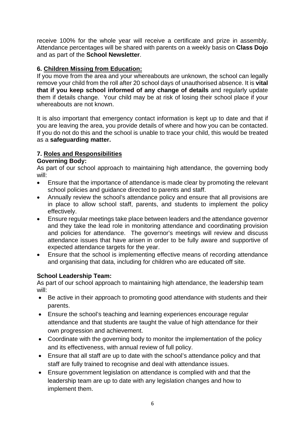receive 100% for the whole year will receive a certificate and prize in assembly. Attendance percentages will be shared with parents on a weekly basis on **Class Dojo** and as part of the **School Newsletter**.

# **6. Children Missing from Education:**

If you move from the area and your whereabouts are unknown, the school can legally remove your child from the roll after 20 school days of unauthorised absence. It is **vital that if you keep school informed of any change of details** and regularly update them if details change. Your child may be at risk of losing their school place if your whereabouts are not known.

It is also important that emergency contact information is kept up to date and that if you are leaving the area, you provide details of where and how you can be contacted. If you do not do this and the school is unable to trace your child, this would be treated as a **safeguarding matter.**

# **7. Roles and Responsibilities**

# **Governing Body:**

As part of our school approach to maintaining high attendance, the governing body will:

- Ensure that the importance of attendance is made clear by promoting the relevant school policies and guidance directed to parents and staff.
- Annually review the school's attendance policy and ensure that all provisions are in place to allow school staff, parents, and students to implement the policy effectively.
- Ensure regular meetings take place between leaders and the attendance governor and they take the lead role in monitoring attendance and coordinating provision and policies for attendance. The governor's meetings will review and discuss attendance issues that have arisen in order to be fully aware and supportive of expected attendance targets for the year.
- Ensure that the school is implementing effective means of recording attendance and organising that data, including for children who are educated off site.

# **School Leadership Team:**

As part of our school approach to maintaining high attendance, the leadership team will:

- Be active in their approach to promoting good attendance with students and their parents.
- Ensure the school's teaching and learning experiences encourage regular attendance and that students are taught the value of high attendance for their own progression and achievement.
- Coordinate with the governing body to monitor the implementation of the policy and its effectiveness, with annual review of full policy.
- Ensure that all staff are up to date with the school's attendance policy and that staff are fully trained to recognise and deal with attendance issues.
- Ensure government legislation on attendance is complied with and that the leadership team are up to date with any legislation changes and how to implement them.